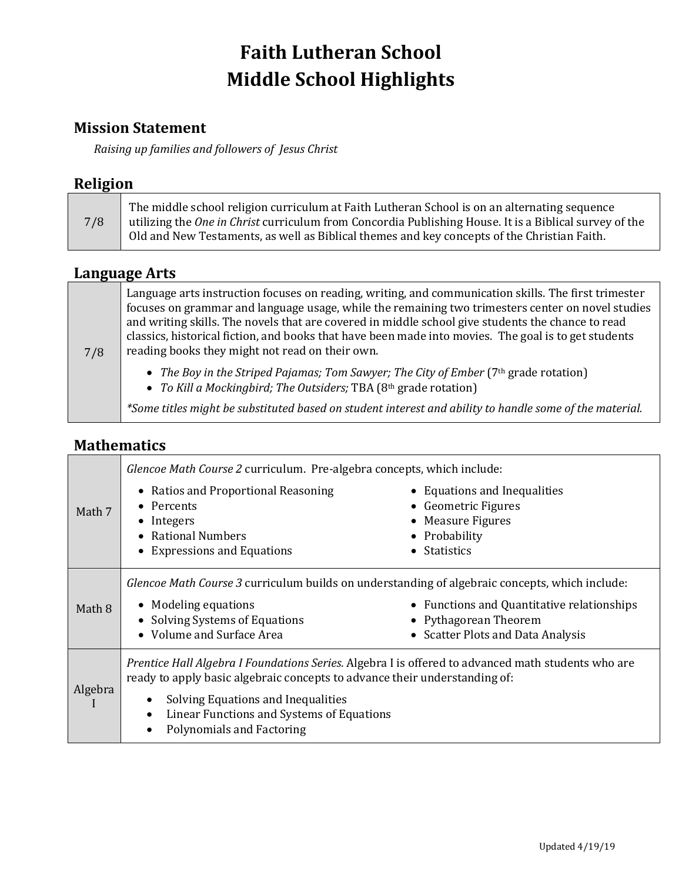# **Faith Lutheran School Middle School Highlights**

### **Mission Statement**

*Raising up families and followers of Jesus Christ*

### **Religion**

| 7/8 | The middle school religion curriculum at Faith Lutheran School is on an alternating sequence<br>utilizing the <i>One in Christ</i> curriculum from Concordia Publishing House. It is a Biblical survey of the<br>Old and New Testaments, as well as Biblical themes and key concepts of the Christian Faith. |
|-----|--------------------------------------------------------------------------------------------------------------------------------------------------------------------------------------------------------------------------------------------------------------------------------------------------------------|
|-----|--------------------------------------------------------------------------------------------------------------------------------------------------------------------------------------------------------------------------------------------------------------------------------------------------------------|

### **Language Arts**

| 7/8 | Language arts instruction focuses on reading, writing, and communication skills. The first trimester<br>focuses on grammar and language usage, while the remaining two trimesters center on novel studies<br>and writing skills. The novels that are covered in middle school give students the chance to read<br>classics, historical fiction, and books that have been made into movies. The goal is to get students<br>reading books they might not read on their own. |  |
|-----|---------------------------------------------------------------------------------------------------------------------------------------------------------------------------------------------------------------------------------------------------------------------------------------------------------------------------------------------------------------------------------------------------------------------------------------------------------------------------|--|
|     | • The Boy in the Striped Pajamas; Tom Sawyer; The City of Ember (7th grade rotation)<br>• To Kill a Mockingbird; The Outsiders; TBA (8th grade rotation)                                                                                                                                                                                                                                                                                                                  |  |
|     | *Some titles might be substituted based on student interest and ability to handle some of the material.                                                                                                                                                                                                                                                                                                                                                                   |  |

### **Mathematics**

|         | Glencoe Math Course 2 curriculum. Pre-algebra concepts, which include:                                                                                                                                                                                                                                                          |                                                                                                          |
|---------|---------------------------------------------------------------------------------------------------------------------------------------------------------------------------------------------------------------------------------------------------------------------------------------------------------------------------------|----------------------------------------------------------------------------------------------------------|
| Math 7  | • Ratios and Proportional Reasoning<br>• Percents<br>$\bullet$ Integers<br>• Rational Numbers                                                                                                                                                                                                                                   | • Equations and Inequalities<br>• Geometric Figures<br>• Measure Figures<br>• Probability                |
|         | • Expressions and Equations                                                                                                                                                                                                                                                                                                     | $\bullet$ Statistics                                                                                     |
| Math 8  | Glencoe Math Course 3 curriculum builds on understanding of algebraic concepts, which include:<br>• Modeling equations<br>• Solving Systems of Equations<br>• Volume and Surface Area                                                                                                                                           | • Functions and Quantitative relationships<br>• Pythagorean Theorem<br>• Scatter Plots and Data Analysis |
| Algebra | Prentice Hall Algebra I Foundations Series. Algebra I is offered to advanced math students who are<br>ready to apply basic algebraic concepts to advance their understanding of:<br>Solving Equations and Inequalities<br>٠<br>Linear Functions and Systems of Equations<br>$\bullet$<br>Polynomials and Factoring<br>$\bullet$ |                                                                                                          |